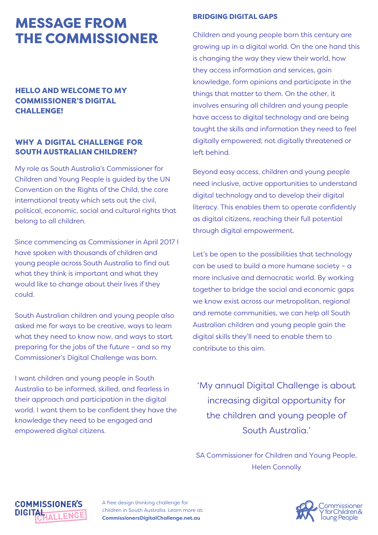# MESSAGE FROM THE COMMISSIONER

# HELLO AND WELCOME TO MY COMMISSIONER'S DIGITAL CHALLENGE!

# WHY A DIGITAL CHALLENGE FOR SOUTH AUSTRALIAN CHILDREN?

My role as South Australia's Commissioner for Children and Young People is guided by the UN Convention on the Rights of the Child, the core international treaty which sets out the civil, political, economic, social and cultural rights that belong to all children.

Since commencing as Commissioner in April 2017 I have spoken with thousands of children and young people across South Australia to find out what they think is important and what they would like to change about their lives if they could.

South Australian children and young people also asked me for ways to be creative, ways to learn what they need to know now, and ways to start preparing for the jobs of the future – and so my Commissioner's Digital Challenge was born.

I want children and young people in South Australia to be informed, skilled, and fearless in their approach and participation in the digital world. I want them to be confident they have the knowledge they need to be engaged and empowered digital citizens.

**COMMISSIONER'S** 

**ALLEN** 

**DIGITAL** 

### BRIDGING DIGITAL GAPS

Children and young people born this century are growing up in a digital world. On the one hand this is changing the way they view their world, how they access information and services, gain knowledge, form opinions and participate in the things that matter to them. On the other, it involves ensuring all children and young people have access to digital technology and are being taught the skills and information they need to feel digitally empowered; not digitally threatened or left behind.

Beyond easy access, children and young people need inclusive, active opportunities to understand digital technology and to develop their digital literacy. This enables them to operate confidently as digital citizens, reaching their full potential through digital empowerment.

Let's be open to the possibilities that technology can be used to build a more humane society – a more inclusive and democratic world. By working together to bridge the social and economic gaps we know exist across our metropolitan, regional and remote communities, we can help all South Australian children and young people gain the digital skills they'll need to enable them to contribute to this aim.

'My annual Digital Challenge is about increasing digital opportunity for the children and young people of South Australia.'

SA Commissioner for Children and Young People, Helen Connolly



A free design thinking challenge for children in South Australia. Learn more at: **CommissionersDigitalChallenge.net.au**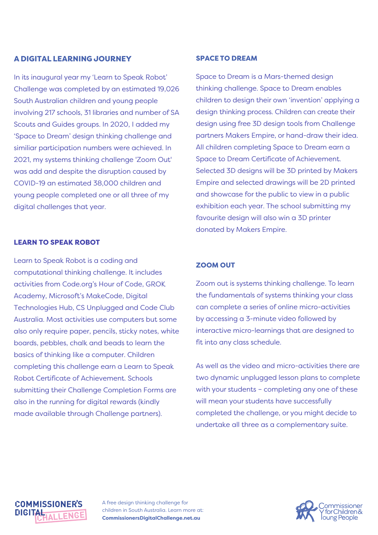### A DIGITAL LEARNING JOURNEY

In its inaugural year my 'Learn to Speak Robot' Challenge was completed by an estimated 19,026 South Australian children and young people involving 217 schools, 31 libraries and number of SA Scouts and Guides groups. In 2020, I added my 'Space to Dream' design thinking challenge and similiar participation numbers were achieved. In 2021, my systems thinking challenge 'Zoom Out' was add and despite the disruption caused by COVID-19 an estimated 38,000 children and young people completed one or all three of my digital challenges that year.

### LEARN TO SPEAK ROBOT

Learn to Speak Robot is a coding and computational thinking challenge. It includes activities from Code.org's Hour of Code, GROK Academy, Microsoft's MakeCode, Digital Technologies Hub, CS Unplugged and Code Club Australia. Most activities use computers but some also only require paper, pencils, sticky notes, white boards, pebbles, chalk and beads to learn the basics of thinking like a computer. Children completing this challenge earn a Learn to Speak Robot Certificate of Achievement. Schools submitting their Challenge Completion Forms are also in the running for digital rewards (kindly made available through Challenge partners).

### SPACE TO DREAM

Space to Dream is a Mars-themed design thinking challenge. Space to Dream enables children to design their own 'invention' applying a design thinking process. Children can create their design using free 3D design tools from Challenge partners Makers Empire, or hand-draw their idea. All children completing Space to Dream earn a Space to Dream Certificate of Achievement. Selected 3D designs will be 3D printed by Makers Empire and selected drawings will be 2D printed and showcase for the public to view in a public exhibition each year. The school submitting my favourite design will also win a 3D printer donated by Makers Empire.

### ZOOM OUT

Zoom out is systems thinking challenge. To learn the fundamentals of systems thinking your class can complete a series of online micro-activities by accessing a 3-minute video followed by interactive micro-learnings that are designed to fit into any class schedule.

As well as the video and micro-activities there are two dynamic unplugged lesson plans to complete with your students – completing any one of these will mean your students have successfully completed the challenge, or you might decide to undertake all three as a complementary suite.

# **COMMISSIONER'S DIGITAL**

A free design thinking challenge for children in South Australia. Learn more at: **CommissionersDigitalChallenge.net.au**